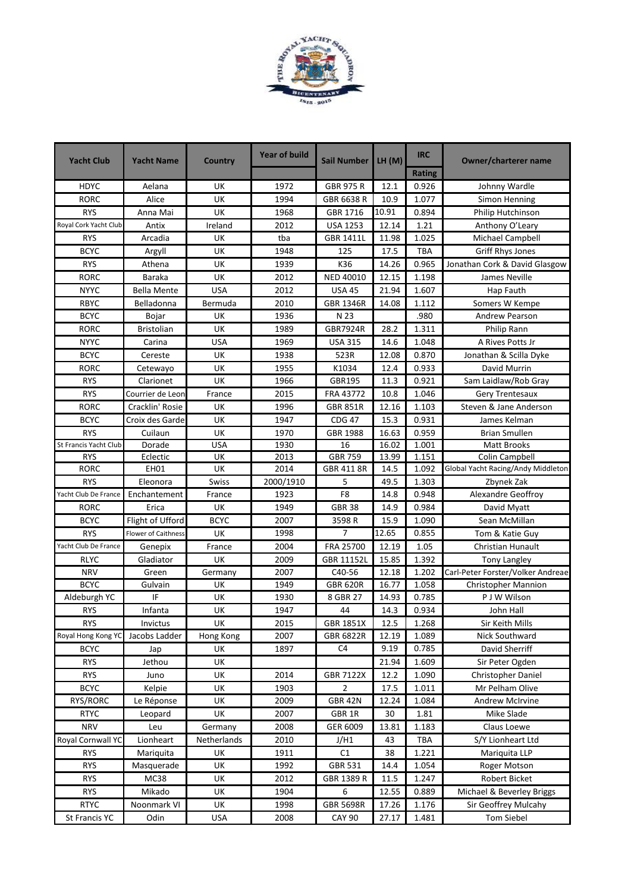

| <b>Yacht Club</b>     | <b>Yacht Name</b>          | <b>Country</b> | <b>Year of build</b> | Sail Number      | LH(M) | <b>IRC</b>    | <b>Owner/charterer name</b>        |
|-----------------------|----------------------------|----------------|----------------------|------------------|-------|---------------|------------------------------------|
|                       |                            |                |                      |                  |       | <b>Rating</b> |                                    |
| <b>HDYC</b>           | Aelana                     | UK             | 1972                 | <b>GBR 975 R</b> | 12.1  | 0.926         | Johnny Wardle                      |
| <b>RORC</b>           | Alice                      | UK             | 1994                 | GBR 6638 R       | 10.9  | 1.077         | Simon Henning                      |
| <b>RYS</b>            | Anna Mai                   | UK             | 1968                 | GBR 1716         | 10.91 | 0.894         | Philip Hutchinson                  |
| Royal Cork Yacht Club | Antix                      | Ireland        | 2012                 | <b>USA 1253</b>  | 12.14 | 1.21          | Anthony O'Leary                    |
| <b>RYS</b>            | Arcadia                    | UK             | tba                  | <b>GBR 1411L</b> | 11.98 | 1.025         | Michael Campbell                   |
| <b>BCYC</b>           | Argyll                     | UK             | 1948                 | 125              | 17.5  | TBA           | Griff Rhys Jones                   |
| <b>RYS</b>            | Athena                     | UK             | 1939                 | K36              | 14.26 | 0.965         | Jonathan Cork & David Glasgow      |
| <b>RORC</b>           | <b>Baraka</b>              | UK             | 2012                 | <b>NED 40010</b> | 12.15 | 1.198         | James Neville                      |
| <b>NYYC</b>           | <b>Bella Mente</b>         | <b>USA</b>     | 2012                 | <b>USA 45</b>    | 21.94 | 1.607         | Hap Fauth                          |
| <b>RBYC</b>           | Belladonna                 | Bermuda        | 2010                 | <b>GBR 1346R</b> | 14.08 | 1.112         | Somers W Kempe                     |
| <b>BCYC</b>           | Bojar                      | UK             | 1936                 | N 23             |       | .980          | <b>Andrew Pearson</b>              |
| <b>RORC</b>           | <b>Bristolian</b>          | UK             | 1989                 | GBR7924R         | 28.2  | 1.311         | Philip Rann                        |
| <b>NYYC</b>           | Carina                     | <b>USA</b>     | 1969                 | <b>USA 315</b>   | 14.6  | 1.048         | A Rives Potts Jr                   |
| <b>BCYC</b>           | Cereste                    | UK             | 1938                 | 523R             | 12.08 | 0.870         | Jonathan & Scilla Dyke             |
| <b>RORC</b>           | Cetewayo                   | UK             | 1955                 | K1034            | 12.4  | 0.933         | David Murrin                       |
| <b>RYS</b>            | Clarionet                  | UK             | 1966                 | GBR195           | 11.3  | 0.921         | Sam Laidlaw/Rob Gray               |
| <b>RYS</b>            | Courrier de Leon           | France         | 2015                 | FRA 43772        | 10.8  | 1.046         | Gery Trentesaux                    |
| <b>RORC</b>           | Cracklin' Rosie            | UK             | 1996                 | <b>GBR 851R</b>  | 12.16 | 1.103         | Steven & Jane Anderson             |
| <b>BCYC</b>           | Croix des Garde            | UK             | 1947                 | <b>CDG 47</b>    | 15.3  | 0.931         | James Kelman                       |
| <b>RYS</b>            | Cuilaun                    | UK             | 1970                 | <b>GBR 1988</b>  | 16.63 | 0.959         | <b>Brian Smullen</b>               |
| St Francis Yacht Club | Dorade                     | <b>USA</b>     | 1930                 | 16               | 16.02 | 1.001         | <b>Matt Brooks</b>                 |
| <b>RYS</b>            | Eclectic                   | UK             | 2013                 | <b>GBR 759</b>   | 13.99 | 1.151         | Colin Campbell                     |
| <b>RORC</b>           | <b>EH01</b>                | UK             | 2014                 | GBR 411 8R       | 14.5  | 1.092         | Global Yacht Racing/Andy Middleton |
| <b>RYS</b>            | Eleonora                   | Swiss          | 2000/1910            | 5                | 49.5  | 1.303         | Zbynek Zak                         |
| Yacht Club De France  | Enchantement               | France         | 1923                 | F8               | 14.8  | 0.948         | Alexandre Geoffroy                 |
| <b>RORC</b>           | Erica                      | UK             | 1949                 | <b>GBR 38</b>    | 14.9  | 0.984         | David Myatt                        |
| <b>BCYC</b>           | Flight of Ufford           | <b>BCYC</b>    | 2007                 | 3598R            | 15.9  | 1.090         | Sean McMillan                      |
| <b>RYS</b>            | <b>Flower of Caithness</b> | <b>UK</b>      | 1998                 | 7                | 12.65 | 0.855         | Tom & Katie Guy                    |
| Yacht Club De France  | Genepix                    | France         | 2004                 | FRA 25700        | 12.19 | 1.05          | <b>Christian Hunault</b>           |
| <b>RLYC</b>           | Gladiator                  | UK             | 2009                 | GBR 11152L       | 15.85 | 1.392         | <b>Tony Langley</b>                |
| <b>NRV</b>            | Green                      | Germany        | 2007                 | C40-56           | 12.18 | 1.202         | Carl-Peter Forster/Volker Andreae  |
| <b>BCYC</b>           | Gulvain                    | UK             | 1949                 | <b>GBR 620R</b>  | 16.77 | 1.058         | <b>Christopher Mannion</b>         |
| Aldeburgh YC          | IF                         | UK             | 1930                 | 8 GBR 27         | 14.93 | 0.785         | P J W Wilson                       |
| <b>RYS</b>            | Infanta                    | UK             | 1947                 | 44               | 14.3  | 0.934         | John Hall                          |
| <b>RYS</b>            | Invictus                   | UK             | 2015                 | GBR 1851X        | 12.5  | 1.268         | Sir Keith Mills                    |
| Royal Hong Kong YC    | Jacobs Ladder              | Hong Kong      | 2007                 | GBR 6822R        | 12.19 | 1.089         | Nick Southward                     |
| <b>BCYC</b>           | Jap                        | UK             | 1897                 | C <sub>4</sub>   | 9.19  | 0.785         | David Sherriff                     |
| <b>RYS</b>            | Jethou                     | UK             |                      |                  | 21.94 | 1.609         | Sir Peter Ogden                    |
| <b>RYS</b>            | Juno                       | UK             | 2014                 | <b>GBR 7122X</b> | 12.2  | 1.090         | Christopher Daniel                 |
| <b>BCYC</b>           | Kelpie                     | UK             | 1903                 | $\overline{2}$   | 17.5  | 1.011         | Mr Pelham Olive                    |
| RYS/RORC              | Le Réponse                 | UK             | 2009                 | <b>GBR 42N</b>   | 12.24 | 1.084         | <b>Andrew McIrvine</b>             |
| <b>RTYC</b>           | Leopard                    | UK             | 2007                 | GBR 1R           | 30    | 1.81          | Mike Slade                         |
| <b>NRV</b>            | Leu                        | Germany        | 2008                 | GER 6009         | 13.81 | 1.183         | Claus Loewe                        |
| Royal Cornwall YC     | Lionheart                  | Netherlands    | 2010                 | J/H1             | 43    | <b>TBA</b>    | S/Y Lionheart Ltd                  |
| <b>RYS</b>            | Mariguita                  | UK             | 1911                 | C1               | 38    | 1.221         | Mariquita LLP                      |
| <b>RYS</b>            | Masquerade                 | UK             | 1992                 | GBR 531          | 14.4  | 1.054         | Roger Motson                       |
| <b>RYS</b>            | <b>MC38</b>                | UK             | 2012                 | GBR 1389 R       | 11.5  | 1.247         | Robert Bicket                      |
| <b>RYS</b>            | Mikado                     | UK             | 1904                 | 6                | 12.55 | 0.889         | Michael & Beverley Briggs          |
| <b>RTYC</b>           | Noonmark VI                | UK             | 1998                 | <b>GBR 5698R</b> |       |               | Sir Geoffrey Mulcahy               |
|                       |                            |                |                      |                  | 17.26 | 1.176         |                                    |
| St Francis YC         | Odin                       | USA            | 2008                 | <b>CAY 90</b>    | 27.17 | 1.481         | <b>Tom Siebel</b>                  |